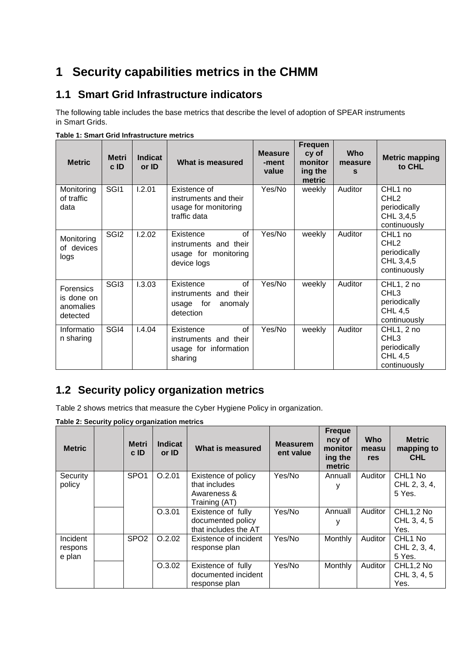# **1 Security capabilities metrics in the CHMM**

### **1.1 Smart Grid Infrastructure indicators**

The following table includes the base metrics that describe the level of adoption of SPEAR instruments in Smart Grids.

| <b>Metric</b>                                           | <b>Metri</b><br>c ID | <b>Indicat</b><br>or ID | <b>What is measured</b>                                                         | <b>Measure</b><br>-ment<br>value | <b>Frequen</b><br>cy of<br>monitor<br>ing the<br>metric | <b>Who</b><br>measure<br>S | <b>Metric mapping</b><br>to CHL                                                      |
|---------------------------------------------------------|----------------------|-------------------------|---------------------------------------------------------------------------------|----------------------------------|---------------------------------------------------------|----------------------------|--------------------------------------------------------------------------------------|
| Monitoring<br>of traffic<br>data                        | SGI <sub>1</sub>     | 1.2.01                  | Existence of<br>instruments and their<br>usage for monitoring<br>traffic data   | Yes/No                           | weekly                                                  | Auditor                    | CHL <sub>1</sub> no<br>CHL <sub>2</sub><br>periodically<br>CHL 3,4,5<br>continuously |
| Monitoring<br>of devices<br>logs                        | SGI <sub>2</sub>     | 1.2.02                  | of<br>Existence<br>instruments and their<br>usage for monitoring<br>device logs | Yes/No                           | weekly                                                  | Auditor                    | CHL <sub>1</sub> no<br>CHL <sub>2</sub><br>periodically<br>CHL 3,4,5<br>continuously |
| <b>Forensics</b><br>is done on<br>anomalies<br>detected | SG <sub>13</sub>     | 1.3.03                  | Existence<br>of<br>instruments and their<br>usage for<br>anomaly<br>detection   | Yes/No                           | weekly                                                  | Auditor                    | CHL1, 2 no<br>CHL <sub>3</sub><br>periodically<br><b>CHL 4,5</b><br>continuously     |
| Informatio<br>n sharing                                 | SGI4                 | 1.4.04                  | of<br>Existence<br>instruments and their<br>usage for information<br>sharing    | Yes/No                           | weekly                                                  | Auditor                    | CHL1, 2 no<br>CHL <sub>3</sub><br>periodically<br><b>CHL 4,5</b><br>continuously     |

**Table 1: Smart Grid Infrastructure metrics** 

## **1.2 Security policy organization metrics**

Table 2 shows metrics that measure the Cyber Hygiene Policy in organization.

| <b>Metric</b> | <b>Metri</b><br>cID | <b>Indicat</b><br>or ID | What is measured      | <b>Measurem</b><br>ent value | <b>Freque</b><br>ncy of<br>monitor<br>ing the<br>metric | <b>Who</b><br>measu<br>res | <b>Metric</b><br>mapping to<br><b>CHL</b> |
|---------------|---------------------|-------------------------|-----------------------|------------------------------|---------------------------------------------------------|----------------------------|-------------------------------------------|
| Security      | SPO <sub>1</sub>    | O.2.01                  | Existence of policy   | Yes/No                       | Annuall                                                 | Auditor                    | CHL <sub>1</sub> No                       |
| policy        |                     |                         | that includes         |                              | у                                                       |                            | CHL 2, 3, 4,                              |
|               |                     |                         | Awareness &           |                              |                                                         |                            | 5 Yes.                                    |
|               |                     |                         | Training (AT)         |                              |                                                         |                            |                                           |
|               |                     | O.3.01                  | Existence of fully    | Yes/No                       | Annuall                                                 | Auditor                    | CHL1,2 No                                 |
|               |                     |                         | documented policy     |                              | у                                                       |                            | CHL 3, 4, 5                               |
|               |                     |                         | that includes the AT  |                              |                                                         |                            | Yes.                                      |
| Incident      | SPO <sub>2</sub>    | O.2.02                  | Existence of incident | Yes/No                       | Monthly                                                 | Auditor                    | CHL <sub>1</sub> No                       |
| respons       |                     |                         | response plan         |                              |                                                         |                            | CHL 2, 3, 4,                              |
| e plan        |                     |                         |                       |                              |                                                         |                            | 5 Yes.                                    |
|               |                     | O.3.02                  | Existence of fully    | Yes/No                       | Monthly                                                 | Auditor                    | CHL1,2 No                                 |
|               |                     |                         | documented incident   |                              |                                                         |                            | CHL 3, 4, 5                               |
|               |                     |                         | response plan         |                              |                                                         |                            | Yes.                                      |

**Table 2: Security policy organization metrics**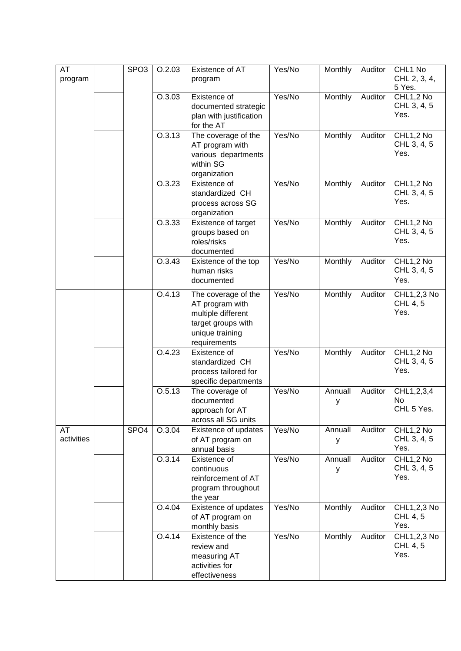| AT<br>program    | SPO <sub>3</sub> | O.2.03 | Existence of AT<br>program                                                                                            | Yes/No | Monthly      | Auditor | CHL1 No<br>CHL 2, 3, 4,<br>5 Yes. |
|------------------|------------------|--------|-----------------------------------------------------------------------------------------------------------------------|--------|--------------|---------|-----------------------------------|
|                  |                  | O.3.03 | Existence of<br>documented strategic<br>plan with justification<br>for the AT                                         | Yes/No | Monthly      | Auditor | CHL1,2 No<br>CHL 3, 4, 5<br>Yes.  |
|                  |                  | O.3.13 | The coverage of the<br>AT program with<br>various departments<br>within SG<br>organization                            | Yes/No | Monthly      | Auditor | CHL1,2 No<br>CHL 3, 4, 5<br>Yes.  |
|                  |                  | O.3.23 | Existence of<br>standardized CH<br>process across SG<br>organization                                                  | Yes/No | Monthly      | Auditor | CHL1,2 No<br>CHL 3, 4, 5<br>Yes.  |
|                  |                  | 0.3.33 | Existence of target<br>groups based on<br>roles/risks<br>documented                                                   | Yes/No | Monthly      | Auditor | CHL1,2 No<br>CHL 3, 4, 5<br>Yes.  |
|                  |                  | O.3.43 | Existence of the top<br>human risks<br>documented                                                                     | Yes/No | Monthly      | Auditor | CHL1,2 No<br>CHL 3, 4, 5<br>Yes.  |
|                  |                  | 0.4.13 | The coverage of the<br>AT program with<br>multiple different<br>target groups with<br>unique training<br>requirements | Yes/No | Monthly      | Auditor | CHL1,2,3 No<br>CHL 4, 5<br>Yes.   |
|                  |                  | O.4.23 | Existence of<br>standardized CH<br>process tailored for<br>specific departments                                       | Yes/No | Monthly      | Auditor | CHL1,2 No<br>CHL 3, 4, 5<br>Yes.  |
|                  |                  | O.5.13 | The coverage of<br>documented<br>approach for AT<br>across all SG units                                               | Yes/No | Annuall<br>у | Auditor | CHL1,2,3,4<br>No<br>CHL 5 Yes.    |
| AT<br>activities | SPO <sub>4</sub> | O.3.04 | Existence of updates<br>of AT program on<br>annual basis                                                              | Yes/No | Annuall<br>y | Auditor | CHL1,2 No<br>CHL 3, 4, 5<br>Yes.  |
|                  |                  | O.3.14 | Existence of<br>continuous<br>reinforcement of AT<br>program throughout<br>the year                                   | Yes/No | Annuall<br>y | Auditor | CHL1,2 No<br>CHL 3, 4, 5<br>Yes.  |
|                  |                  | O.4.04 | Existence of updates<br>of AT program on<br>monthly basis                                                             | Yes/No | Monthly      | Auditor | CHL1,2,3 No<br>CHL 4, 5<br>Yes.   |
|                  |                  | 0.4.14 | Existence of the<br>review and<br>measuring AT<br>activities for<br>effectiveness                                     | Yes/No | Monthly      | Auditor | CHL1,2,3 No<br>CHL 4, 5<br>Yes.   |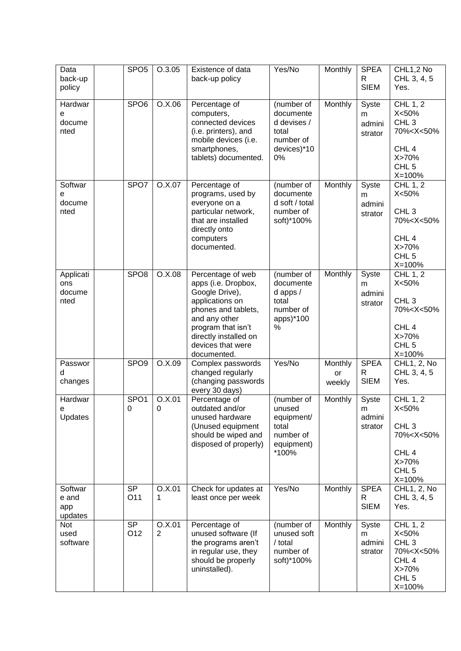| Data<br>back-up<br>policy          | SPO <sub>5</sub>      | O.3.05                   | Existence of data<br>back-up policy                                                                                                                                                                      | Yes/No                                                                            | Monthly                 | <b>SPEA</b><br>R<br><b>SIEM</b> | CHL1,2 No<br>CHL 3, 4, 5<br>Yes.                                                                                                             |
|------------------------------------|-----------------------|--------------------------|----------------------------------------------------------------------------------------------------------------------------------------------------------------------------------------------------------|-----------------------------------------------------------------------------------|-------------------------|---------------------------------|----------------------------------------------------------------------------------------------------------------------------------------------|
| Hardwar<br>е<br>docume<br>nted     | SPO <sub>6</sub>      | O.X.06                   | Percentage of<br>computers,<br>connected devices<br>(i.e. printers), and<br>mobile devices (i.e.<br>smartphones,<br>tablets) documented.                                                                 | (number of<br>documente<br>d devises /<br>total<br>number of<br>devices)*10<br>0% | Monthly                 | Syste<br>m<br>admini<br>strator | CHL 1, 2<br>X<50%<br>CHL <sub>3</sub><br>70% <x<50%<br>CHL<sub>4</sub><br/>X&gt;70%<br/>CHL<sub>5</sub><br/><math>X = 100%</math></x<50%<br> |
| Softwar<br>е<br>docume<br>nted     | SPO7                  | O.X.07                   | Percentage of<br>programs, used by<br>everyone on a<br>particular network,<br>that are installed<br>directly onto<br>computers<br>documented.                                                            | (number of<br>documente<br>d soft / total<br>number of<br>soft)*100%              | Monthly                 | Syste<br>m<br>admini<br>strator | CHL 1, 2<br>X<50%<br>CHL <sub>3</sub><br>70% <x<50%<br>CHL<sub>4</sub><br/>X&gt;70%<br/>CHL<sub>5</sub><br/><math>X = 100%</math></x<50%<br> |
| Applicati<br>ons<br>docume<br>nted | SPO <sub>8</sub>      | O.X.08                   | Percentage of web<br>apps (i.e. Dropbox,<br>Google Drive),<br>applications on<br>phones and tablets,<br>and any other<br>program that isn't<br>directly installed on<br>devices that were<br>documented. | (number of<br>documente<br>$d$ apps /<br>total<br>number of<br>apps)*100<br>%     | Monthly                 | Syste<br>m<br>admini<br>strator | CHL 1, 2<br>X<50%<br>CHL <sub>3</sub><br>70% <x<50%<br>CHL<sub>4</sub><br/>X&gt;70%<br/>CHL<sub>5</sub><br/><math>X = 100%</math></x<50%<br> |
| Passwor<br>d<br>changes            | SPO <sub>9</sub>      | O.X.09                   | Complex passwords<br>changed regularly<br>(changing passwords<br>every 30 days)                                                                                                                          | Yes/No                                                                            | Monthly<br>or<br>weekly | <b>SPEA</b><br>R<br><b>SIEM</b> | CHL1, 2, No<br>CHL 3, 4, 5<br>Yes.                                                                                                           |
| Hardwar<br>е<br>Updates            | SPO <sub>1</sub><br>0 | O.X.01<br>0              | Percentage of<br>outdated and/or<br>unused hardware<br>(Unused equipment<br>should be wiped and<br>disposed of properly)                                                                                 | (number of<br>unused<br>equipment/<br>total<br>number of<br>equipment)<br>*100%   | Monthly                 | Syste<br>m<br>admini<br>strator | CHL 1, 2<br>X<50%<br>CHL <sub>3</sub><br>70% <x<50%<br>CHL<sub>4</sub><br/>X&gt;70%<br/>CHL<sub>5</sub><br/><math>X = 100%</math></x<50%<br> |
| Softwar<br>e and<br>app<br>updates | <b>SP</b><br>O11      | O.X.01<br>1              | Check for updates at<br>least once per week                                                                                                                                                              | Yes/No                                                                            | Monthly                 | <b>SPEA</b><br>R<br><b>SIEM</b> | CHL1, 2, No<br>CHL 3, 4, 5<br>Yes.                                                                                                           |
| Not<br>used<br>software            | <b>SP</b><br>O12      | O.X.01<br>$\overline{2}$ | Percentage of<br>unused software (If<br>the programs aren't<br>in regular use, they<br>should be properly<br>uninstalled).                                                                               | (number of<br>unused soft<br>/ total<br>number of<br>soft)*100%                   | Monthly                 | Syste<br>m<br>admini<br>strator | CHL 1, 2<br>X<50%<br>CHL <sub>3</sub><br>70% <x<50%<br>CHL<sub>4</sub><br/>X&gt;70%<br/>CHL<sub>5</sub><br/><math>X = 100%</math></x<50%<br> |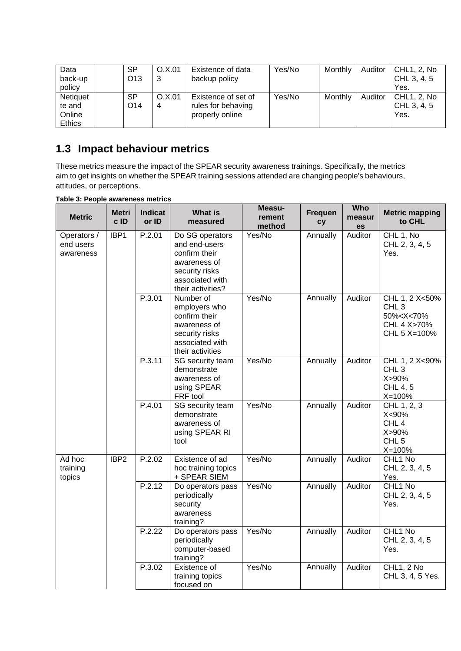| Data<br>back-up<br>policy                     | <b>SP</b><br>O <sub>13</sub> | O.X.01<br>3 | Existence of data<br>backup policy                           | Yes/No | Monthly | Auditor | CHL1, 2, No<br>CHL 3, 4, 5<br>Yes. |
|-----------------------------------------------|------------------------------|-------------|--------------------------------------------------------------|--------|---------|---------|------------------------------------|
| Netiquet<br>te and<br>Online<br><b>Ethics</b> | <b>SP</b><br>O <sub>14</sub> | O.X.01<br>4 | Existence of set of<br>rules for behaving<br>properly online | Yes/No | Monthly | Auditor | CHL1, 2, No<br>CHL 3, 4, 5<br>Yes. |

## **1.3 Impact behaviour metrics**

These metrics measure the impact of the SPEAR security awareness trainings. Specifically, the metrics aim to get insights on whether the SPEAR training sessions attended are changing people's behaviours, attitudes, or perceptions.

| <b>Metric</b>                         | Metri<br>c ID    | <b>Indicat</b><br>or ID | <b>What is</b><br>measured                                                                                                  | Measu-<br>rement<br>method | <b>Frequen</b><br>cy | Who<br>measur<br>es | <b>Metric mapping</b><br>to CHL                                                                |
|---------------------------------------|------------------|-------------------------|-----------------------------------------------------------------------------------------------------------------------------|----------------------------|----------------------|---------------------|------------------------------------------------------------------------------------------------|
| Operators /<br>end users<br>awareness | IBP1             | P.2.01                  | Do SG operators<br>and end-users<br>confirm their<br>awareness of<br>security risks<br>associated with<br>their activities? | Yes/No                     | Annually             | Auditor             | CHL 1, No<br>CHL 2, 3, 4, 5<br>Yes.                                                            |
|                                       |                  | P.3.01                  | Number of<br>employers who<br>confirm their<br>awareness of<br>security risks<br>associated with<br>their activities        | Yes/No                     | Annually             | Auditor             | CHL 1, 2 X<50%<br>CHL <sub>3</sub><br>50% <x<70%<br>CHL 4 X&gt;70%<br/>CHL 5 X=100%</x<70%<br> |
|                                       |                  | P.3.11                  | SG security team<br>demonstrate<br>awareness of<br>using SPEAR<br>FRF tool                                                  | Yes/No                     | Annually             | Auditor             | CHL 1, 2 X<90%<br>CHL <sub>3</sub><br>X>90%<br>CHL 4, 5<br>$X = 100%$                          |
|                                       |                  | P.4.01                  | SG security team<br>demonstrate<br>awareness of<br>using SPEAR RI<br>tool                                                   | Yes/No                     | Annually             | Auditor             | CHL 1, 2, 3<br>X<90%<br>CHL <sub>4</sub><br>X>90%<br>CHL <sub>5</sub><br>$X = 100%$            |
| Ad hoc<br>training<br>topics          | IBP <sub>2</sub> | P.2.02                  | Existence of ad<br>hoc training topics<br>+ SPEAR SIEM                                                                      | Yes/No                     | Annually             | Auditor             | CHL1 No<br>CHL 2, 3, 4, 5<br>Yes.                                                              |
|                                       |                  | P.2.12                  | Do operators pass<br>periodically<br>security<br>awareness<br>training?                                                     | Yes/No                     | Annually             | Auditor             | CHL1 No<br>CHL 2, 3, 4, 5<br>Yes.                                                              |
|                                       |                  | P.2.22                  | Do operators pass<br>periodically<br>computer-based<br>training?                                                            | Yes/No                     | Annually             | Auditor             | CHL1 No<br>CHL 2, 3, 4, 5<br>Yes.                                                              |
|                                       |                  | P.3.02                  | Existence of<br>training topics<br>focused on                                                                               | Yes/No                     | Annually             | Auditor             | CHL1, 2 No<br>CHL 3, 4, 5 Yes.                                                                 |

**Table 3: People awareness metrics**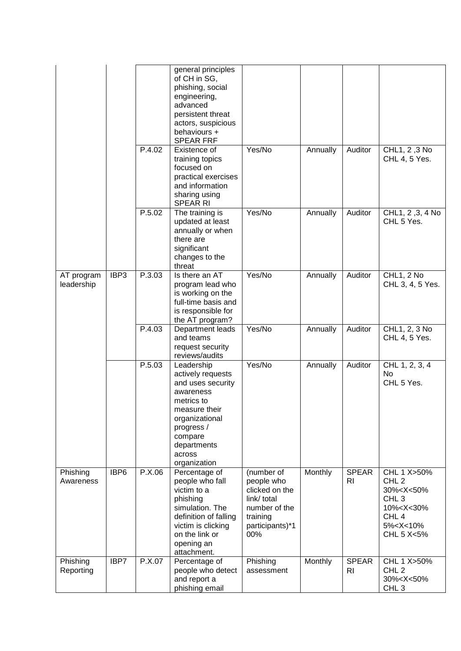|                          |      |        | general principles<br>of CH in SG,<br>phishing, social<br>engineering,<br>advanced<br>persistent threat<br>actors, suspicious<br>behaviours +<br><b>SPEAR FRF</b>                    |                                                                                                                  |          |                                |                                                                                                                                                                  |
|--------------------------|------|--------|--------------------------------------------------------------------------------------------------------------------------------------------------------------------------------------|------------------------------------------------------------------------------------------------------------------|----------|--------------------------------|------------------------------------------------------------------------------------------------------------------------------------------------------------------|
|                          |      | P.4.02 | Existence of<br>training topics<br>focused on<br>practical exercises<br>and information<br>sharing using<br><b>SPEAR RI</b>                                                          | Yes/No                                                                                                           | Annually | Auditor                        | CHL1, 2, 3 No<br>CHL 4, 5 Yes.                                                                                                                                   |
|                          |      | P.5.02 | The training is<br>updated at least<br>annually or when<br>there are<br>significant<br>changes to the<br>threat                                                                      | Yes/No                                                                                                           | Annually | Auditor                        | CHL1, 2, 3, 4 No<br>CHL 5 Yes.                                                                                                                                   |
| AT program<br>leadership | IBP3 | P.3.03 | Is there an AT<br>program lead who<br>is working on the<br>full-time basis and<br>is responsible for<br>the AT program?                                                              | Yes/No                                                                                                           | Annually | Auditor                        | CHL1, 2 No<br>CHL 3, 4, 5 Yes.                                                                                                                                   |
|                          |      | P.4.03 | Department leads<br>and teams<br>request security<br>reviews/audits                                                                                                                  | Yes/No                                                                                                           | Annually | Auditor                        | CHL1, 2, 3 No<br>CHL 4, 5 Yes.                                                                                                                                   |
|                          |      | P.5.03 | Leadership<br>actively requests<br>and uses security<br>awareness<br>metrics to<br>measure their<br>organizational<br>progress /<br>compare<br>departments<br>across<br>organization | Yes/No                                                                                                           | Annually | Auditor                        | CHL 1, 2, 3, 4<br>No.<br>CHL 5 Yes.                                                                                                                              |
| Phishing<br>Awareness    | IBP6 | P.X.06 | Percentage of<br>people who fall<br>victim to a<br>phishing<br>simulation. The<br>definition of falling<br>victim is clicking<br>on the link or<br>opening an<br>attachment.         | (number of<br>people who<br>clicked on the<br>link/ total<br>number of the<br>training<br>participants)*1<br>00% | Monthly  | <b>SPEAR</b><br>RI             | CHL 1 X>50%<br>CHL <sub>2</sub><br>30% <x<50%<br>CHL<sub>3</sub><br/>10%<x<30%<br>CHL<sub>4</sub><br/>5%<x<10%<br>CHL 5 X&lt;5%</x<10%<br></x<30%<br></x<50%<br> |
| Phishing<br>Reporting    | IBP7 | P.X.07 | Percentage of<br>people who detect<br>and report a<br>phishing email                                                                                                                 | Phishing<br>assessment                                                                                           | Monthly  | <b>SPEAR</b><br>R <sub>l</sub> | CHL 1 X>50%<br>CHL <sub>2</sub><br>30% <x<50%<br>CHL<sub>3</sub></x<50%<br>                                                                                      |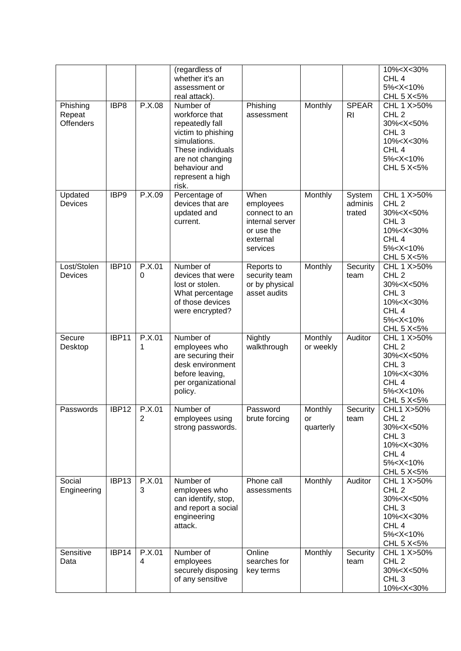| Phishing                   | IBP8              | P.X.08                   | (regardless of<br>whether it's an<br>assessment or<br>real attack).<br>Number of                                                                               | Phishing                                                                                    | Monthly                    | <b>SPEAR</b>                | 10% <x<30%<br>CHL<sub>4</sub><br/>5%<x<10%<br>CHL 5 X&lt;5%<br/>CHL 1 X&gt;50%</x<10%<br></x<30%<br>                                                             |
|----------------------------|-------------------|--------------------------|----------------------------------------------------------------------------------------------------------------------------------------------------------------|---------------------------------------------------------------------------------------------|----------------------------|-----------------------------|------------------------------------------------------------------------------------------------------------------------------------------------------------------|
| Repeat<br><b>Offenders</b> |                   |                          | workforce that<br>repeatedly fall<br>victim to phishing<br>simulations.<br>These individuals<br>are not changing<br>behaviour and<br>represent a high<br>risk. | assessment                                                                                  |                            | R <sub>l</sub>              | CHL <sub>2</sub><br>30% <x<50%<br>CHL<sub>3</sub><br/>10%<x<30%<br>CHL<sub>4</sub><br/>5%<x<10%<br>CHL 5 X&lt;5%</x<10%<br></x<30%<br></x<50%<br>                |
| Updated<br>Devices         | IBP9              | P.X.09                   | Percentage of<br>devices that are<br>updated and<br>current.                                                                                                   | When<br>employees<br>connect to an<br>internal server<br>or use the<br>external<br>services | Monthly                    | System<br>adminis<br>trated | CHL 1 X>50%<br>CHL <sub>2</sub><br>30% <x<50%<br>CHL<sub>3</sub><br/>10%<x<30%<br>CHL<sub>4</sub><br/>5%<x<10%<br>CHL 5 X&lt;5%</x<10%<br></x<30%<br></x<50%<br> |
| Lost/Stolen<br>Devices     | IBP10             | P.X.01<br>0              | Number of<br>devices that were<br>lost or stolen.<br>What percentage<br>of those devices<br>were encrypted?                                                    | Reports to<br>security team<br>or by physical<br>asset audits                               | Monthly                    | Security<br>team            | CHL 1 X>50%<br>CHL <sub>2</sub><br>30% <x<50%<br>CHL<sub>3</sub><br/>10%<x<30%<br>CHL<sub>4</sub><br/>5%<x<10%<br>CHL 5 X&lt;5%</x<10%<br></x<30%<br></x<50%<br> |
| Secure<br>Desktop          | IBP11             | P.X.01<br>1              | Number of<br>employees who<br>are securing their<br>desk environment<br>before leaving,<br>per organizational<br>policy.                                       | Nightly<br>walkthrough                                                                      | Monthly<br>or weekly       | Auditor                     | CHL 1 X>50%<br>CHL <sub>2</sub><br>30% <x<50%<br>CHL<sub>3</sub><br/>10%<x<30%<br>CHL<sub>4</sub><br/>5%<x<10%<br>CHL 5 X&lt;5%</x<10%<br></x<30%<br></x<50%<br> |
| Passwords                  | IBP <sub>12</sub> | P.X.01<br>$\overline{2}$ | Number of<br>employees using<br>strong passwords.                                                                                                              | Password<br>brute forcing                                                                   | Monthly<br>or<br>quarterly | Security<br>team            | CHL1 X>50%<br>CHL <sub>2</sub><br>30% <x<50%<br>CHL<sub>3</sub><br/>10%<x<30%<br>CHL<sub>4</sub><br/>5%<x<10%<br>CHL 5 X&lt;5%</x<10%<br></x<30%<br></x<50%<br>  |
| Social<br>Engineering      | IBP13             | P.X.01<br>3              | Number of<br>employees who<br>can identify, stop,<br>and report a social<br>engineering<br>attack.                                                             | Phone call<br>assessments                                                                   | Monthly                    | Auditor                     | CHL 1 X>50%<br>CHL <sub>2</sub><br>30% <x<50%<br>CHL<sub>3</sub><br/>10%<x<30%<br>CHL<sub>4</sub><br/>5%<x<10%<br>CHL 5 X&lt;5%</x<10%<br></x<30%<br></x<50%<br> |
| Sensitive<br>Data          | IBP14             | P.X.01<br>4              | Number of<br>employees<br>securely disposing<br>of any sensitive                                                                                               | Online<br>searches for<br>key terms                                                         | Monthly                    | Security<br>team            | CHL 1 X>50%<br>CHL <sub>2</sub><br>30% <x<50%<br>CHL<sub>3</sub><br/>10%<x<30%< td=""></x<30%<></x<50%<br>                                                       |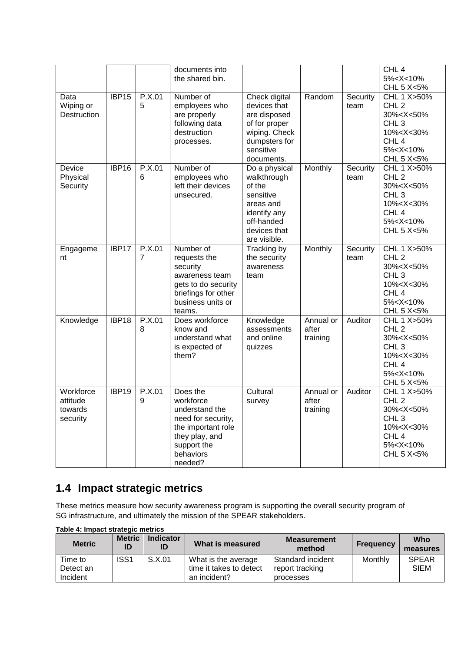| Data<br>Wiping or<br>Destruction             | IBP <sub>15</sub> | P.X.01<br>5 | documents into<br>the shared bin.<br>Number of<br>employees who<br>are properly<br>following data<br>destruction<br>processes.               | Check digital<br>devices that<br>are disposed<br>of for proper<br>wiping. Check<br>dumpsters for<br>sensitive                                | Random                         | Security<br>team | CHL <sub>4</sub><br>5% <x<10%<br>CHL 5 X&lt;5%<br/>CHL 1 X&gt;50%<br/>CHL<sub>2</sub><br/>30%<x<50%<br>CHL<sub>3</sub><br/>10%<x<30%<br>CHL<sub>4</sub><br/>5%<x<10%< th=""></x<10%<></x<30%<br></x<50%<br></x<10%<br> |
|----------------------------------------------|-------------------|-------------|----------------------------------------------------------------------------------------------------------------------------------------------|----------------------------------------------------------------------------------------------------------------------------------------------|--------------------------------|------------------|------------------------------------------------------------------------------------------------------------------------------------------------------------------------------------------------------------------------|
| Device<br>Physical<br>Security               | IBP16             | P.X.01<br>6 | Number of<br>employees who<br>left their devices<br>unsecured.                                                                               | documents.<br>Do a physical<br>walkthrough<br>of the<br>sensitive<br>areas and<br>identify any<br>off-handed<br>devices that<br>are visible. | Monthly                        | Security<br>team | CHL 5 X<5%<br>CHL 1 X>50%<br>CHL <sub>2</sub><br>30% <x<50%<br>CHL<sub>3</sub><br/>10%<x<30%<br>CHL<sub>4</sub><br/>5%<x<10%<br>CHL 5 <math>X&lt;</math>5%</x<10%<br></x<30%<br></x<50%<br>                            |
| Engageme<br>nt                               | IBP17             | P.X.01<br>7 | Number of<br>requests the<br>security<br>awareness team<br>gets to do security<br>briefings for other<br>business units or<br>teams.         | Tracking by<br>the security<br>awareness<br>team                                                                                             | Monthly                        | Security<br>team | CHL 1 X>50%<br>CHL <sub>2</sub><br>30% <x<50%<br>CHL<sub>3</sub><br/>10%<x<30%<br>CHL<sub>4</sub><br/>5%<x<10%<br>CHL 5 X&lt;5%</x<10%<br></x<30%<br></x<50%<br>                                                       |
| Knowledge                                    | IBP18             | P.X.01<br>8 | Does workforce<br>know and<br>understand what<br>is expected of<br>them?                                                                     | Knowledge<br>assessments<br>and online<br>quizzes                                                                                            | Annual or<br>after<br>training | Auditor          | CHL 1 X>50%<br>CHL <sub>2</sub><br>30% <x<50%<br>CHL<sub>3</sub><br/>10%<x<30%<br>CHL<sub>4</sub><br/>5%<x<10%<br>CHL 5 X&lt;5%</x<10%<br></x<30%<br></x<50%<br>                                                       |
| Workforce<br>attitude<br>towards<br>security | IBP19             | P.X.01<br>9 | Does the<br>workforce<br>understand the<br>need for security,<br>the important role<br>they play, and<br>support the<br>behaviors<br>needed? | Cultural<br>survey                                                                                                                           | Annual or<br>after<br>training | Auditor          | CHL 1 X>50%<br>CHL <sub>2</sub><br>30% <x<50%<br>CHL<sub>3</sub><br/>10%<x<30%<br>CHL<sub>4</sub><br/>5%<x<10%<br>CHL 5 X&lt;5%</x<10%<br></x<30%<br></x<50%<br>                                                       |

# **1.4 Impact strategic metrics**

These metrics measure how security awareness program is supporting the overall security program of SG infrastructure, and ultimately the mission of the SPEAR stakeholders.

| $\ldots$      |                     |                        |                         |                              |                  |                 |
|---------------|---------------------|------------------------|-------------------------|------------------------------|------------------|-----------------|
| <b>Metric</b> | <b>Metric</b><br>ID | <b>Indicator</b><br>ID | What is measured        | <b>Measurement</b><br>method | <b>Frequency</b> | Who<br>measures |
| Time to       | ISS <sub>1</sub>    | S.X.01                 | What is the average     | Standard incident            | Monthly          | <b>SPEAR</b>    |
| Detect an     |                     |                        | time it takes to detect | report tracking              |                  | <b>SIEM</b>     |
| Incident      |                     |                        | an incident?            | processes                    |                  |                 |

**Table 4: Impact strategic metrics**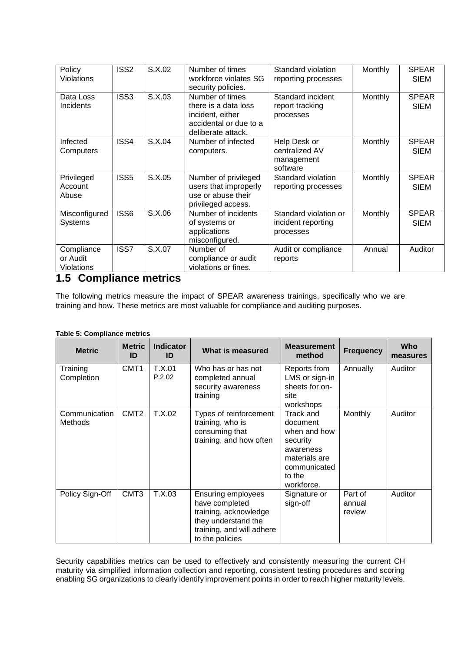| Policy<br><b>Violations</b>                 | ISS <sub>2</sub> | S.X.02 | Number of times<br>workforce violates SG<br>security policies.                                              | Standard violation<br>reporting processes                | Monthly        | <b>SPEAR</b><br><b>SIEM</b> |
|---------------------------------------------|------------------|--------|-------------------------------------------------------------------------------------------------------------|----------------------------------------------------------|----------------|-----------------------------|
| Data Loss<br>Incidents                      | ISS <sub>3</sub> | S.X.03 | Number of times<br>there is a data loss<br>incident, either<br>accidental or due to a<br>deliberate attack. | Standard incident<br>report tracking<br>processes        | Monthly        | <b>SPEAR</b><br><b>SIEM</b> |
| Infected<br>Computers                       | ISS4             | S.X.04 | Number of infected<br>computers.                                                                            | Help Desk or<br>centralized AV<br>management<br>software | Monthly        | <b>SPEAR</b><br><b>SIEM</b> |
| Privileged<br>Account<br>Abuse              | ISS <sub>5</sub> | S.X.05 | Number of privileged<br>users that improperly<br>use or abuse their<br>privileged access.                   | Standard violation<br>reporting processes                | Monthly        | <b>SPEAR</b><br><b>SIEM</b> |
| Misconfigured<br><b>Systems</b>             | ISS6             | S.X.06 | Number of incidents<br>of systems or<br>applications<br>misconfigured.                                      | Standard violation or<br>incident reporting<br>processes | <b>Monthly</b> | <b>SPEAR</b><br><b>SIEM</b> |
| Compliance<br>or Audit<br><b>Violations</b> | ISS7             | S.X.07 | Number of<br>compliance or audit<br>violations or fines.                                                    | Audit or compliance<br>reports                           | Annual         | Auditor                     |

#### **1.5 Compliance metrics**

The following metrics measure the impact of SPEAR awareness trainings, specifically who we are training and how. These metrics are most valuable for compliance and auditing purposes.

| <b>Table 5: Compliance metrics</b> |
|------------------------------------|
|------------------------------------|

| <b>Metric</b>                   | <b>Metric</b><br>ID | <b>Indicator</b><br>ID | What is measured                                                                                                                     | <b>Measurement</b><br>method                                                                                            | <b>Frequency</b>            | <b>Who</b><br>measures |
|---------------------------------|---------------------|------------------------|--------------------------------------------------------------------------------------------------------------------------------------|-------------------------------------------------------------------------------------------------------------------------|-----------------------------|------------------------|
| Training<br>Completion          | CMT <sub>1</sub>    | T.X.01<br>P.2.02       | Who has or has not<br>completed annual<br>security awareness<br>training                                                             | Reports from<br>LMS or sign-in<br>sheets for on-<br>site<br>workshops                                                   | Annually                    | Auditor                |
| Communication<br><b>Methods</b> | CMT <sub>2</sub>    | T.X.02                 | Types of reinforcement<br>training, who is<br>consuming that<br>training, and how often                                              | Track and<br>document<br>when and how<br>security<br>awareness<br>materials are<br>communicated<br>to the<br>workforce. | Monthly                     | Auditor                |
| Policy Sign-Off                 | CMT <sub>3</sub>    | T.X.03                 | Ensuring employees<br>have completed<br>training, acknowledge<br>they understand the<br>training, and will adhere<br>to the policies | Signature or<br>sign-off                                                                                                | Part of<br>annual<br>review | Auditor                |

Security capabilities metrics can be used to effectively and consistently measuring the current CH maturity via simplified information collection and reporting, consistent testing procedures and scoring enabling SG organizations to clearly identify improvement points in order to reach higher maturity levels.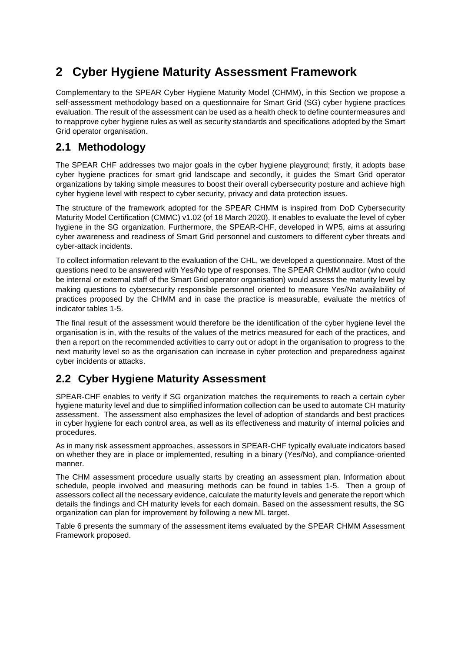# **2 Cyber Hygiene Maturity Assessment Framework**

Complementary to the SPEAR Cyber Hygiene Maturity Model (CHMM), in this Section we propose a self-assessment methodology based on a questionnaire for Smart Grid (SG) cyber hygiene practices evaluation. The result of the assessment can be used as a health check to define countermeasures and to reapprove cyber hygiene rules as well as security standards and specifications adopted by the Smart Grid operator organisation.

#### **2.1 Methodology**

The SPEAR CHF addresses two major goals in the cyber hygiene playground; firstly, it adopts base cyber hygiene practices for smart grid landscape and secondly, it guides the Smart Grid operator organizations by taking simple measures to boost their overall cybersecurity posture and achieve high cyber hygiene level with respect to cyber security, privacy and data protection issues.

The structure of the framework adopted for the SPEAR CHMM is inspired from DoD Cybersecurity Maturity Model Certification (CMMC) v1.02 (of 18 March 2020). It enables to evaluate the level of cyber hygiene in the SG organization. Furthermore, the SPEAR-CHF, developed in WP5, aims at assuring cyber awareness and readiness of Smart Grid personnel and customers to different cyber threats and cyber-attack incidents.

To collect information relevant to the evaluation of the CHL, we developed a questionnaire. Most of the questions need to be answered with Yes/No type of responses. The SPEAR CHMM auditor (who could be internal or external staff of the Smart Grid operator organisation) would assess the maturity level by making questions to cybersecurity responsible personnel oriented to measure Yes/No availability of practices proposed by the CHMM and in case the practice is measurable, evaluate the metrics of indicator tables 1-5.

The final result of the assessment would therefore be the identification of the cyber hygiene level the organisation is in, with the results of the values of the metrics measured for each of the practices, and then a report on the recommended activities to carry out or adopt in the organisation to progress to the next maturity level so as the organisation can increase in cyber protection and preparedness against cyber incidents or attacks.

#### **2.2 Cyber Hygiene Maturity Assessment**

SPEAR-CHF enables to verify if SG organization matches the requirements to reach a certain cyber hygiene maturity level and due to simplified information collection can be used to automate CH maturity assessment. The assessment also emphasizes the level of adoption of standards and best practices in cyber hygiene for each control area, as well as its effectiveness and maturity of internal policies and procedures.

As in many risk assessment approaches, assessors in SPEAR-CHF typically evaluate indicators based on whether they are in place or implemented, resulting in a binary (Yes/No), and compliance-oriented manner.

The CHM assessment procedure usually starts by creating an assessment plan. Information about schedule, people involved and measuring methods can be found in tables 1-5. Then a group of assessors collect all the necessary evidence, calculate the maturity levels and generate the report which details the findings and CH maturity levels for each domain. Based on the assessment results, the SG organization can plan for improvement by following a new ML target.

Table 6 presents the summary of the assessment items evaluated by the SPEAR CHMM Assessment Framework proposed.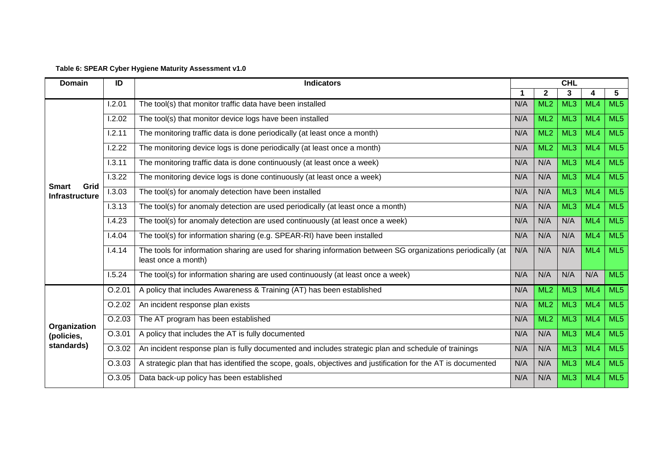| Table 6: SPEAR Cyber Hygiene Maturity Assessment v1.0 |  |
|-------------------------------------------------------|--|
|-------------------------------------------------------|--|

| <b>Domain</b>                                 | ID     | <b>Indicators</b>                                                                                                                   |     |                 | <b>CHL</b>      |     |                 |  |  |  |
|-----------------------------------------------|--------|-------------------------------------------------------------------------------------------------------------------------------------|-----|-----------------|-----------------|-----|-----------------|--|--|--|
|                                               |        |                                                                                                                                     |     | $\mathbf{2}$    | 3               | 4   | 5               |  |  |  |
| Grid<br><b>Smart</b><br><b>Infrastructure</b> | 1.2.01 | The tool(s) that monitor traffic data have been installed                                                                           | N/A | ML <sub>2</sub> | ML <sub>3</sub> | ML4 | ML <sub>5</sub> |  |  |  |
|                                               | 1.2.02 | The tool(s) that monitor device logs have been installed                                                                            | N/A | ML <sub>2</sub> | ML <sub>3</sub> | ML4 | ML <sub>5</sub> |  |  |  |
|                                               | 1.2.11 | The monitoring traffic data is done periodically (at least once a month)                                                            | N/A | ML <sub>2</sub> | ML <sub>3</sub> | ML4 | ML <sub>5</sub> |  |  |  |
|                                               | 1.2.22 | The monitoring device logs is done periodically (at least once a month)                                                             | N/A | ML <sub>2</sub> | ML <sub>3</sub> | ML4 | ML <sub>5</sub> |  |  |  |
|                                               | 1.3.11 | The monitoring traffic data is done continuously (at least once a week)                                                             | N/A | N/A             | ML <sub>3</sub> | ML4 | ML <sub>5</sub> |  |  |  |
|                                               | 1.3.22 | The monitoring device logs is done continuously (at least once a week)                                                              | N/A | N/A             | ML3             | ML4 | ML <sub>5</sub> |  |  |  |
|                                               | I.3.03 | The tool(s) for anomaly detection have been installed                                                                               | N/A | N/A             | ML <sub>3</sub> | ML4 | ML <sub>5</sub> |  |  |  |
|                                               | 1.3.13 | The tool(s) for anomaly detection are used periodically (at least once a month)                                                     | N/A | N/A             | ML3             | ML4 | ML <sub>5</sub> |  |  |  |
|                                               | 1.4.23 | The tool(s) for anomaly detection are used continuously (at least once a week)                                                      | N/A | N/A             | N/A             | ML4 | ML5             |  |  |  |
|                                               | 1.4.04 | The tool(s) for information sharing (e.g. SPEAR-RI) have been installed                                                             | N/A | N/A             | N/A             | ML4 | ML <sub>5</sub> |  |  |  |
|                                               | 1.4.14 | The tools for information sharing are used for sharing information between SG organizations periodically (at<br>least once a month) | N/A | N/A             | N/A             | ML4 | ML <sub>5</sub> |  |  |  |
|                                               | 1.5.24 | The tool(s) for information sharing are used continuously (at least once a week)                                                    | N/A | N/A             | N/A             | N/A | ML <sub>5</sub> |  |  |  |
| Organization<br>(policies,<br>standards)      | O.2.01 | A policy that includes Awareness & Training (AT) has been established                                                               | N/A | ML <sub>2</sub> | ML3             | ML4 | ML <sub>5</sub> |  |  |  |
|                                               | O.2.02 | An incident response plan exists                                                                                                    | N/A | ML <sub>2</sub> | ML <sub>3</sub> | ML4 | ML <sub>5</sub> |  |  |  |
|                                               | O.2.03 | The AT program has been established                                                                                                 | N/A | ML <sub>2</sub> | ML <sub>3</sub> | ML4 | ML <sub>5</sub> |  |  |  |
|                                               | O.3.01 | A policy that includes the AT is fully documented                                                                                   | N/A | N/A             | ML <sub>3</sub> | ML4 | ML <sub>5</sub> |  |  |  |
|                                               | O.3.02 | An incident response plan is fully documented and includes strategic plan and schedule of trainings                                 | N/A | N/A             | ML3             | ML4 | ML <sub>5</sub> |  |  |  |
|                                               | O.3.03 | A strategic plan that has identified the scope, goals, objectives and justification for the AT is documented                        | N/A | N/A             | ML <sub>3</sub> | ML4 | ML <sub>5</sub> |  |  |  |
|                                               | O.3.05 | Data back-up policy has been established                                                                                            | N/A | N/A             | ML <sub>3</sub> | ML4 | ML <sub>5</sub> |  |  |  |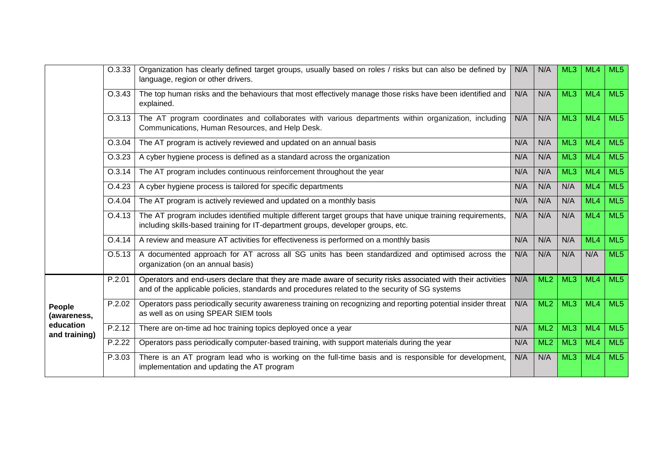|                                                     | O.3.33 | Organization has clearly defined target groups, usually based on roles / risks but can also be defined by<br>language, region or other drivers.                                                               | N/A | N/A | ML3 | ML4 | ML <sub>5</sub> |
|-----------------------------------------------------|--------|---------------------------------------------------------------------------------------------------------------------------------------------------------------------------------------------------------------|-----|-----|-----|-----|-----------------|
|                                                     | O.3.43 | The top human risks and the behaviours that most effectively manage those risks have been identified and<br>explained.                                                                                        | N/A | N/A | ML3 | ML4 | ML5             |
|                                                     | O.3.13 | The AT program coordinates and collaborates with various departments within organization, including<br>Communications, Human Resources, and Help Desk.                                                        | N/A | N/A | ML3 | ML4 | ML5             |
|                                                     | O.3.04 | The AT program is actively reviewed and updated on an annual basis                                                                                                                                            | N/A | N/A | ML3 | ML4 | ML <sub>5</sub> |
|                                                     | O.3.23 | A cyber hygiene process is defined as a standard across the organization                                                                                                                                      | N/A | N/A | ML3 | ML4 | ML <sub>5</sub> |
|                                                     | O.3.14 | The AT program includes continuous reinforcement throughout the year                                                                                                                                          | N/A | N/A | ML3 | ML4 | ML5             |
|                                                     | O.4.23 | A cyber hygiene process is tailored for specific departments                                                                                                                                                  | N/A | N/A | N/A | ML4 | ML <sub>5</sub> |
| People<br>(awareness,<br>education<br>and training) | O.4.04 | The AT program is actively reviewed and updated on a monthly basis                                                                                                                                            | N/A | N/A | N/A | ML4 | ML5             |
|                                                     | O.4.13 | The AT program includes identified multiple different target groups that have unique training requirements,<br>including skills-based training for IT-department groups, developer groups, etc.               | N/A | N/A | N/A | ML4 | ML5             |
|                                                     | O.4.14 | A review and measure AT activities for effectiveness is performed on a monthly basis                                                                                                                          | N/A | N/A | N/A | ML4 | ML5             |
|                                                     | O.5.13 | A documented approach for AT across all SG units has been standardized and optimised across the<br>organization (on an annual basis)                                                                          | N/A | N/A | N/A | N/A | ML <sub>5</sub> |
|                                                     | P.2.01 | Operators and end-users declare that they are made aware of security risks associated with their activities<br>and of the applicable policies, standards and procedures related to the security of SG systems | N/A | ML2 | ML3 | ML4 | ML5             |
|                                                     | P.2.02 | Operators pass periodically security awareness training on recognizing and reporting potential insider threat<br>as well as on using SPEAR SIEM tools                                                         | N/A | ML2 | ML3 | ML4 | ML5             |
|                                                     | P.2.12 | There are on-time ad hoc training topics deployed once a year                                                                                                                                                 | N/A | ML2 | ML3 | ML4 | ML5             |
|                                                     | P.2.22 | Operators pass periodically computer-based training, with support materials during the year                                                                                                                   | N/A | ML2 | ML3 | ML4 | ML <sub>5</sub> |
|                                                     | P.3.03 | There is an AT program lead who is working on the full-time basis and is responsible for development,<br>implementation and updating the AT program                                                           | N/A | N/A | ML3 | ML4 | ML5             |